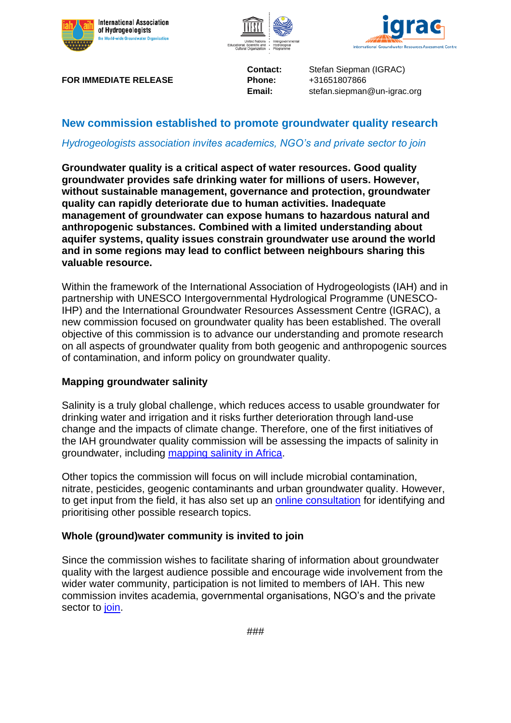





**FOR IMMEDIATE RELEASE Phone:** +31651807866

**Contact:** Stefan Siepman (IGRAC) **Email:** stefan.siepman@un-igrac.org

# **New commission established to promote groundwater quality research**

## *Hydrogeologists association invites academics, NGO's and private sector to join*

**Groundwater quality is a critical aspect of water resources. Good quality groundwater provides safe drinking water for millions of users. However, without sustainable management, governance and protection, groundwater quality can rapidly deteriorate due to human activities. Inadequate management of groundwater can expose humans to hazardous natural and anthropogenic substances. Combined with a limited understanding about aquifer systems, quality issues constrain groundwater use around the world and in some regions may lead to conflict between neighbours sharing this valuable resource.**

Within the framework of the International Association of Hydrogeologists (IAH) and in partnership with UNESCO Intergovernmental Hydrological Programme (UNESCO-IHP) and the International Groundwater Resources Assessment Centre (IGRAC), a new commission focused on groundwater quality has been established. The overall objective of this commission is to advance our understanding and promote research on all aspects of groundwater quality from both geogenic and anthropogenic sources of contamination, and inform policy on groundwater quality.

## **Mapping groundwater salinity**

Salinity is a truly global challenge, which reduces access to usable groundwater for drinking water and irrigation and it risks further deterioration through land-use change and the impacts of climate change. Therefore, one of the first initiatives of the IAH groundwater quality commission will be assessing the impacts of salinity in groundwater, including [mapping salinity in Africa.](https://gwquality.iah.org/partners-and-projects/gw-salinity-map-of-africa)

Other topics the commission will focus on will include microbial contamination, nitrate, pesticides, geogenic contaminants and urban groundwater quality. However, to get input from the field, it has also set up an [online consultation](https://forms.office.com/Pages/ResponsePage.aspx?id=Yo1Utdb-TEePX3No-35SvD7rcc-iFatMgiyzE1JuxPRUM0xKUllDUjdUUkVYU0o3TEVBUkM3VFJUSC4u) for identifying and prioritising other possible research topics.

## **Whole (ground)water community is invited to join**

Since the commission wishes to facilitate sharing of information about groundwater quality with the largest audience possible and encourage wide involvement from the wider water community, participation is not limited to members of IAH. This new commission invites academia, governmental organisations, NGO's and the private sector to [join.](https://docs.google.com/forms/d/e/1FAIpQLSfq296M3n3NvCfV23DH7s2LkT7QgDjpKzqvMGwtGVNDwywQFA/viewform)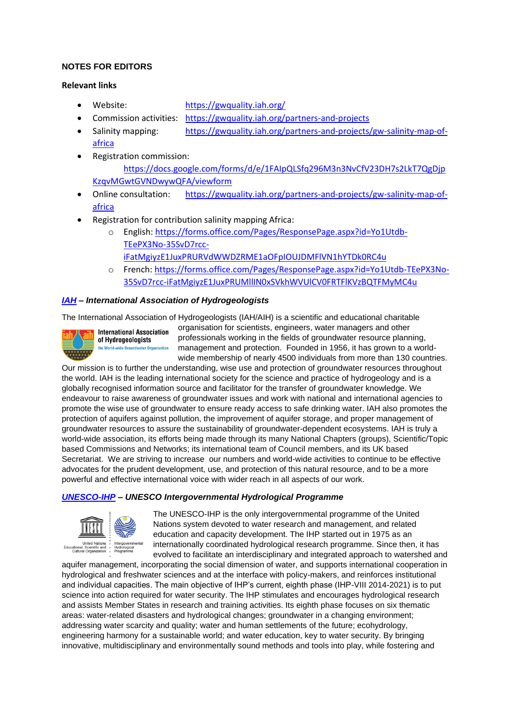### **NOTES FOR EDITORS**

#### **Relevant links**

- Website: <https://gwquality.iah.org/>
- Commission activities: <https://gwquality.iah.org/partners-and-projects>
- Salinity mapping: https://gwquality.jah.org/partners-and-projects/gw-salinity-map-of[africa](https://gwquality.iah.org/partners-and-projects/gw-salinity-map-of-africa)
- Registration commission: [https://docs.google.com/forms/d/e/1FAIpQLSfq296M3n3NvCfV23DH7s2LkT7QgDjp](https://docs.google.com/forms/d/e/1FAIpQLSfq296M3n3NvCfV23DH7s2LkT7QgDjpKzqvMGwtGVNDwywQFA/viewform) [KzqvMGwtGVNDwywQFA/viewform](https://docs.google.com/forms/d/e/1FAIpQLSfq296M3n3NvCfV23DH7s2LkT7QgDjpKzqvMGwtGVNDwywQFA/viewform)
- Online consultation: [https://gwquality.iah.org/partners-and-projects/gw-salinity-map-of](https://gwquality.iah.org/partners-and-projects/gw-salinity-map-of-africa)[africa](https://gwquality.iah.org/partners-and-projects/gw-salinity-map-of-africa)
- Registration for contribution salinity mapping Africa:
	- o English: [https://forms.office.com/Pages/ResponsePage.aspx?id=Yo1Utdb-](https://forms.office.com/Pages/ResponsePage.aspx?id=Yo1Utdb-TEePX3No-35SvD7rcc-iFatMgiyzE1JuxPRURVdWWDZRME1aOFpIOUJDMFlVN1hYTDk0RC4u)[TEePX3No-35SvD7rcc](https://forms.office.com/Pages/ResponsePage.aspx?id=Yo1Utdb-TEePX3No-35SvD7rcc-iFatMgiyzE1JuxPRURVdWWDZRME1aOFpIOUJDMFlVN1hYTDk0RC4u)[iFatMgiyzE1JuxPRURVdWWDZRME1aOFpIOUJDMFlVN1hYTDk0RC4u](https://forms.office.com/Pages/ResponsePage.aspx?id=Yo1Utdb-TEePX3No-35SvD7rcc-iFatMgiyzE1JuxPRURVdWWDZRME1aOFpIOUJDMFlVN1hYTDk0RC4u)
	- o French: [https://forms.office.com/Pages/ResponsePage.aspx?id=Yo1Utdb-TEePX3No-](https://forms.office.com/Pages/ResponsePage.aspx?id=Yo1Utdb-TEePX3No-35SvD7rcc-iFatMgiyzE1JuxPRUMllIN0xSVkhWVUlCV0FRTFlKVzBQTFMyMC4u)[35SvD7rcc-iFatMgiyzE1JuxPRUMllIN0xSVkhWVUlCV0FRTFlKVzBQTFMyMC4u](https://forms.office.com/Pages/ResponsePage.aspx?id=Yo1Utdb-TEePX3No-35SvD7rcc-iFatMgiyzE1JuxPRUMllIN0xSVkhWVUlCV0FRTFlKVzBQTFMyMC4u)

### *[IAH](https://iah.org/about) – International Association of Hydrogeologists*

The International Association of Hydrogeologists (IAH/AIH) is a scientific and educational charitable



organisation for scientists, engineers, water managers and other professionals working in the fields of groundwater resource planning, management and protection. Founded in 1956, it has grown to a worldwide membership of nearly 4500 individuals from more than 130 countries.

Our mission is to further the understanding, wise use and protection of groundwater resources throughout the world. IAH is the leading international society for the science and practice of hydrogeology and is a globally recognised information source and facilitator for the transfer of groundwater knowledge. We endeavour to raise awareness of groundwater issues and work with national and international agencies to promote the wise use of groundwater to ensure ready access to safe drinking water. IAH also promotes the protection of aquifers against pollution, the improvement of aquifer storage, and proper management of groundwater resources to assure the sustainability of groundwater-dependent ecosystems. IAH is truly a world-wide association, its efforts being made through its many National Chapters (groups), Scientific/Topic based Commissions and Networks; its international team of Council members, and its UK based Secretariat. We are striving to increase our numbers and world-wide activities to continue to be effective advocates for the prudent development, use, and protection of this natural resource, and to be a more powerful and effective international voice with wider reach in all aspects of our work.

#### *[UNESCO-IHP](https://en.unesco.org/themes/water-security/hydrology) – UNESCO Intergovernmental Hydrological Programme*



The UNESCO-IHP is the only intergovernmental programme of the United Nations system devoted to water research and management, and related education and capacity development. The IHP started out in 1975 as an internationally coordinated hydrological research programme. Since then, it has evolved to facilitate an interdisciplinary and integrated approach to watershed and

aquifer management, incorporating the social dimension of water, and supports international cooperation in hydrological and freshwater sciences and at the interface with policy-makers, and reinforces institutional and individual capacities. The main objective of IHP's current, eighth phase (IHP-VIII 2014-2021) is to put science into action required for water security. The IHP stimulates and encourages hydrological research and assists Member States in research and training activities. Its eighth phase focuses on six thematic areas: water-related disasters and hydrological changes; groundwater in a changing environment; addressing water scarcity and quality; water and human settlements of the future; ecohydrology, engineering harmony for a sustainable world; and water education, key to water security. By bringing innovative, multidisciplinary and environmentally sound methods and tools into play, while fostering and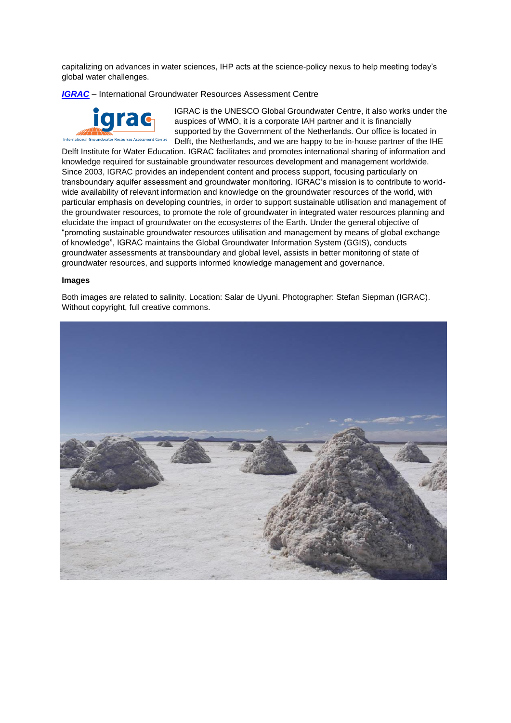capitalizing on advances in water sciences, IHP acts at the science-policy nexus to help meeting today's global water challenges.

*[IGRAC](https://www.un-igrac.org/who-we-are)* – International Groundwater Resources Assessment Centre



IGRAC is the UNESCO Global Groundwater Centre, it also works under the auspices of WMO, it is a corporate IAH partner and it is financially supported by the Government of the Netherlands. Our office is located in Delft, the Netherlands, and we are happy to be in-house partner of the IHE

Delft Institute for Water Education. IGRAC facilitates and promotes international sharing of information and knowledge required for sustainable groundwater resources development and management worldwide. Since 2003, IGRAC provides an independent content and process support, focusing particularly on transboundary aquifer assessment and groundwater monitoring. IGRAC's mission is to contribute to worldwide availability of relevant information and knowledge on the groundwater resources of the world, with particular emphasis on developing countries, in order to support sustainable utilisation and management of the groundwater resources, to promote the role of groundwater in integrated water resources planning and elucidate the impact of groundwater on the ecosystems of the Earth. Under the general objective of "promoting sustainable groundwater resources utilisation and management by means of global exchange of knowledge", IGRAC maintains the Global Groundwater Information System (GGIS), conducts groundwater assessments at transboundary and global level, assists in better monitoring of state of groundwater resources, and supports informed knowledge management and governance.

#### **Images**

Both images are related to salinity. Location: Salar de Uyuni. Photographer: Stefan Siepman (IGRAC). Without copyright, full creative commons.